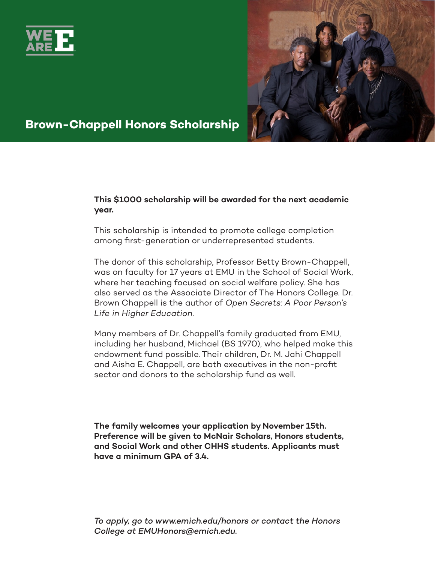



## **Brown-Chappell Honors Scholarship**

#### **This \$1000 scholarship will be awarded for the next academic year.**

This scholarship is intended to promote college completion among first-generation or underrepresented students.

The donor of this scholarship, Professor Betty Brown-Chappell, was on faculty for 17 years at EMU in the School of Social Work, where her teaching focused on social welfare policy. She has also served as the Associate Director of The Honors College. Dr. Brown Chappell is the author of *Open Secrets: A Poor Person's Life in Higher Education*.

Many members of Dr. Chappell's family graduated from EMU, including her husband, Michael (BS 1970), who helped make this endowment fund possible. Their children, Dr. M. Jahi Chappell and Aisha E. Chappell, are both executives in the non-profit sector and donors to the scholarship fund as well.

**The family welcomes your application by November 15th. Preference will be given to McNair Scholars, Honors students, and Social Work and other CHHS students. Applicants must have a minimum GPA of 3.4.**

*To apply, go to www.emich.edu/honors or contact the Honors College at EMUHonors@emich.edu.*